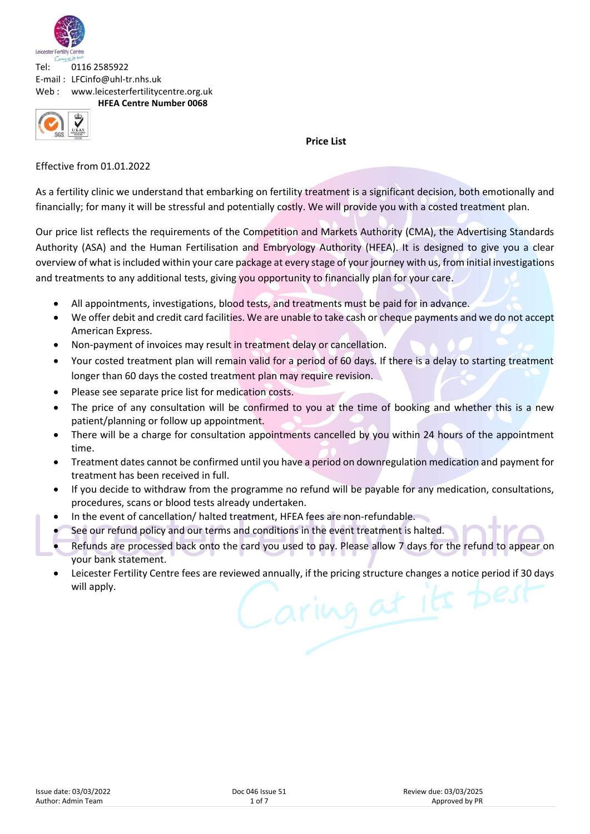

**HFEA Centre Number 0068**



**Price List**

Effective from 01.01.2022

As a fertility clinic we understand that embarking on fertility treatment is a significant decision, both emotionally and financially; for many it will be stressful and potentially costly. We will provide you with a costed treatment plan.

Our price list reflects the requirements of the Competition and Markets Authority (CMA), the Advertising Standards Authority (ASA) and the Human Fertilisation and Embryology Authority (HFEA). It is designed to give you a clear overview of what is included within your care package at every stage of your journey with us, from initial investigations and treatments to any additional tests, giving you opportunity to financially plan for your care.

- All appointments, investigations, blood tests, and treatments must be paid for in advance.
- We offer debit and credit card facilities. We are unable to take cash or cheque payments and we do not accept American Express.
- Non-payment of invoices may result in treatment delay or cancellation.
- Your costed treatment plan will remain valid for a period of 60 days. If there is a delay to starting treatment longer than 60 days the costed treatment plan may require revision.
- Please see separate price list for medication costs.
- The price of any consultation will be confirmed to you at the time of booking and whether this is a new patient/planning or follow up appointment.
- There will be a charge for consultation appointments cancelled by you within 24 hours of the appointment time.
- Treatment dates cannot be confirmed until you have a period on downregulation medication and payment for treatment has been received in full.
- If you decide to withdraw from the programme no refund will be payable for any medication, consultations, procedures, scans or blood tests already undertaken.
- In the event of cancellation/ halted treatment, HFEA fees are non-refundable.
- See our refund policy and our terms and conditions in the event treatment is halted.
- Refunds are processed back onto the card you used to pay. Please allow 7 days for the refund to appear on your bank statement.
- Leicester Fertility Centre fees are reviewed annually, if the pricing structure changes a notice period if 30 days will apply.Caring at its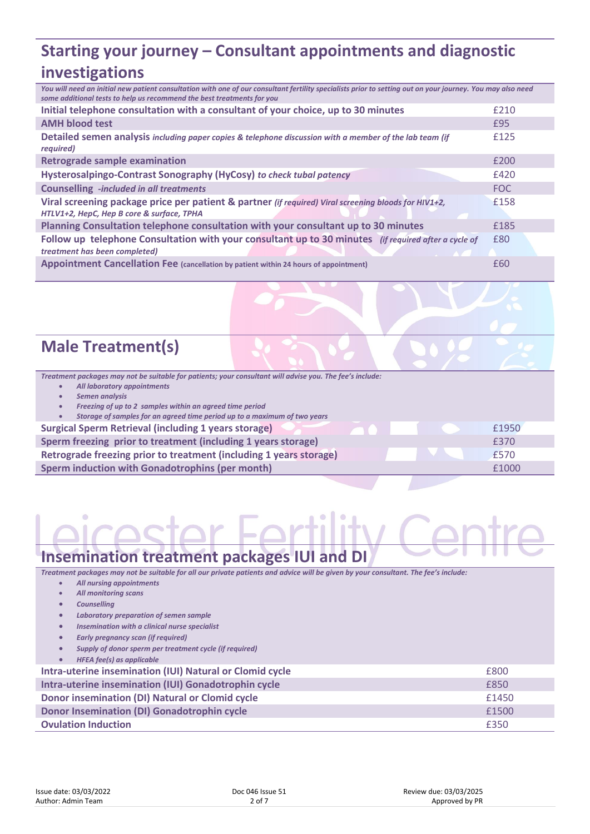# **Starting your journey – Consultant appointments and diagnostic investigations**

| You will need an initial new patient consultation with one of our consultant fertility specialists prior to setting out on your journey. You may also need<br>some additional tests to help us recommend the best treatments for you |      |
|--------------------------------------------------------------------------------------------------------------------------------------------------------------------------------------------------------------------------------------|------|
| Initial telephone consultation with a consultant of your choice, up to 30 minutes                                                                                                                                                    | £210 |
| <b>AMH blood test</b>                                                                                                                                                                                                                | £95  |
| Detailed semen analysis including paper copies & telephone discussion with a member of the lab team (if<br>required)                                                                                                                 | £125 |
| <b>Retrograde sample examination</b>                                                                                                                                                                                                 | £200 |
| Hysterosalpingo-Contrast Sonography (HyCosy) to check tubal patency                                                                                                                                                                  | £420 |
| <b>Counselling</b> -included in all treatments                                                                                                                                                                                       | FOC  |
| Viral screening package price per patient & partner (if required) Viral screening bloods for HIV1+2,<br>HTLV1+2, HepC, Hep B core & surface, TPHA                                                                                    | £158 |
| Planning Consultation telephone consultation with your consultant up to 30 minutes                                                                                                                                                   | £185 |
| Follow up telephone Consultation with your consultant up to 30 minutes (if required after a cycle of<br>treatment has been completed)                                                                                                | £80  |
| Appointment Cancellation Fee (cancellation by patient within 24 hours of appointment)                                                                                                                                                | £60  |

# **Male Treatment(s)**

- *All laboratory appointments*
- *Semen analysis*
- *Freezing of up to 2 samples within an agreed time period*

• *Storage of samples for an agreed time period up to a maximum of two years*

#### **Surgical Sperm Retrieval (including 1 years storage) 2008 10:00 10:00 10:00 10:00 10:00 10:00 10:00 10:00 10:00 10:00 10:00 10:00 10:00 10:00 10:00 10:00 10:00 10:00 10:00 10:00 10:00 10:00 10:00 10:00 10:00 10:00 10:00**

| Sperm freezing prior to treatment (including 1 years storage)      | £370  |
|--------------------------------------------------------------------|-------|
| Retrograde freezing prior to treatment (including 1 years storage) | £570  |
| Sperm induction with Gonadotrophins (per month)                    | £1000 |

## **Insemination treatment packages IUI and DI**

*Treatment packages may not be suitable for all our private patients and advice will be given by your consultant. The fee's include:*

- *All nursing appointments* • *All monitoring scans*
- *Counselling*
- *Laboratory preparation of semen sample*
- *Insemination with a clinical nurse specialist*
- *Early pregnancy scan (if required)*
- *Supply of donor sperm per treatment cycle (if required)*
- *HFEA fee(s) as applicable*

| Intra-uterine insemination (IUI) Natural or Clomid cycle | £800  |
|----------------------------------------------------------|-------|
| Intra-uterine insemination (IUI) Gonadotrophin cycle     | £850  |
| Donor insemination (DI) Natural or Clomid cycle          | £1450 |
| Donor Insemination (DI) Gonadotrophin cycle              | £1500 |
| <b>Ovulation Induction</b>                               | £350  |
|                                                          |       |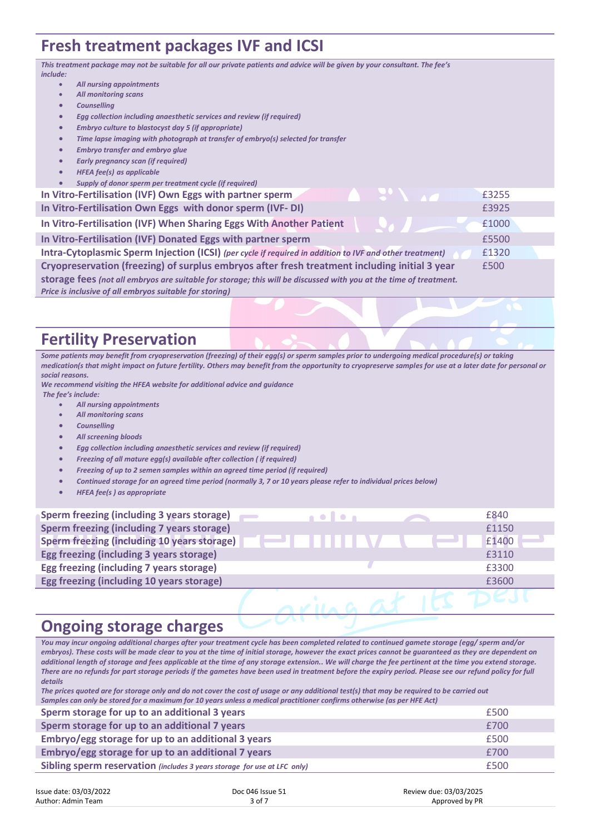# **Fresh treatment packages IVF and ICSI**

*This treatment package may not be suitable for all our private patients and advice will be given by your consultant. The fee's include:* • *All nursing appointments* • *All monitoring scans* • *Counselling* • *Egg collection including anaesthetic services and review (if required)* • *Embryo culture to blastocyst day 5 (if appropriate)* • *Time lapse imaging with photograph at transfer of embryo(s) selected for transfer* • *Embryo transfer and embryo glue* • *Early pregnancy scan (if required)*  • *HFEA fee(s) as applicable* • *Supply of donor sperm per treatment cycle (if required)*  **In Vitro-Fertilisation (IVF) Own Eggs with partner sperm** £3255 **In Vitro-Fertilisation Own Eggs with donor sperm (IVF- DI)** £3925 **In Vitro-Fertilisation (IVF) When Sharing Eggs With Another Patient 1000 In Vitro-Fertilisation (IVF) Donated Eggs with partner sperm** £5500 **Intra-Cytoplasmic Sperm Injection (ICSI)** *(per cycle if required in addition to IVF and other treatment)* £1320 **Cryopreservation (freezing) of surplus embryos after fresh treatment including initial 3 year storage fees** *(not all embryos are suitable for storage; this will be discussed with you at the time of treatment. Price is inclusive of all embryos suitable for storing)* £500

## **Fertility Preservation**

*Some patients may benefit from cryopreservation (freezing) of their egg(s) or sperm samples prior to undergoing medical procedure(s) or taking medication(s that might impact on future fertility. Others may benefit from the opportunity to cryopreserve samples for use at a later date for personal or social reasons.* 

*We recommend visiting the HFEA website for additional advice and guidance The fee's include:*

- *All nursing appointments*
- *All monitoring scans*
- *Counselling*
- *All screening bloods*
- *Egg collection including anaesthetic services and review (if required)*
- *Freezing of all mature egg(s) available after collection ( if required)*
- *Freezing of up to 2 semen samples within an agreed time period (if required)*
- *Continued storage for an agreed time period (normally 3, 7 or 10 years please refer to individual prices below)*
- *HFEA fee(s ) as appropriate*

| Sperm freezing (including 3 years storage)         | <b>.</b> | £840  |
|----------------------------------------------------|----------|-------|
| Sperm freezing (including 7 years storage)         |          | £1150 |
| <b>Sperm freezing (including 10 years storage)</b> |          | £1400 |
| Egg freezing (including 3 years storage)           |          | £3110 |
| Egg freezing (including 7 years storage)           |          | £3300 |
| Egg freezing (including 10 years storage)          |          | £3600 |
|                                                    |          |       |

# **Ongoing storage charges**

*You may incur ongoing additional charges after your treatment cycle has been completed related to continued gamete storage (egg/ sperm and/or embryos). These costs will be made clear to you at the time of initial storage, however the exact prices cannot be guaranteed as they are dependent on additional length of storage and fees applicable at the time of any storage extension.. We will charge the fee pertinent at the time you extend storage. There are no refunds for part storage periods if the gametes have been used in treatment before the expiry period. Please see our refund policy for full details*

*The prices quoted are for storage only and do not cover the cost of usage or any additional test(s) that may be required to be carried out Samples can only be stored for a maximum for 10 years unless a medical practitioner confirms otherwise (as per HFE Act)*

| Sperm storage for up to an additional 3 years                            | £500 |
|--------------------------------------------------------------------------|------|
| Sperm storage for up to an additional 7 years                            | £700 |
| Embryo/egg storage for up to an additional 3 years                       | £500 |
| Embryo/egg storage for up to an additional 7 years                       | £700 |
| Sibling sperm reservation (includes 3 years storage for use at LFC only) | £500 |

| Issue date: 03/03/2022 | Doc 046 Issue 51 | Review due: 03/03/2025 |
|------------------------|------------------|------------------------|
| Author: Admin Team     | 3 of 7           | Approved by PR         |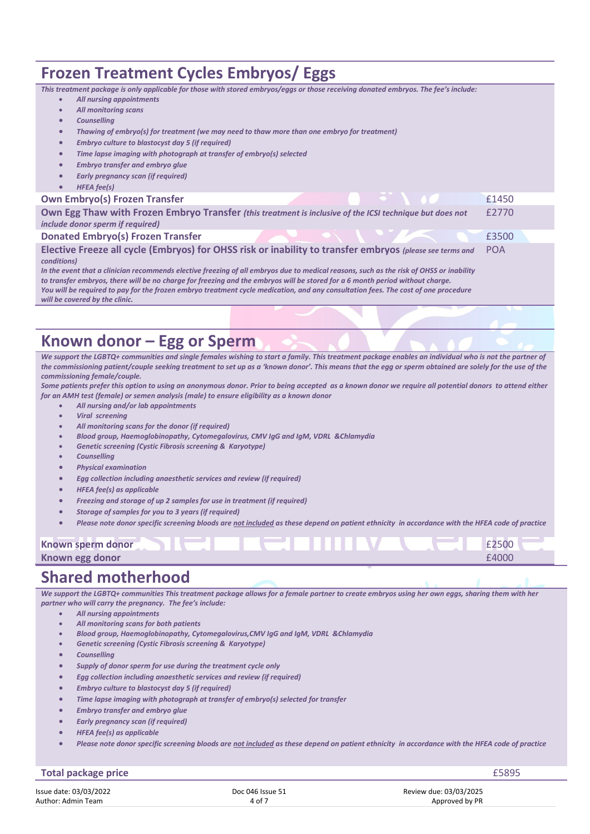## **Frozen Treatment Cycles Embryos/ Eggs**

| This treatment package is only applicable for those with stored embryos/eggs or those receiving donated embryos. The fee's include: |  |
|-------------------------------------------------------------------------------------------------------------------------------------|--|
|                                                                                                                                     |  |

- *All nursing appointments*
- *All monitoring scans*
- *Counselling*
- *Thawing of embryo(s) for treatment (we may need to thaw more than one embryo for treatment)*
- *Embryo culture to blastocyst day 5 (if required)*
- *Time lapse imaging with photograph at transfer of embryo(s) selected*
- *Embryo transfer and embryo glue*
- *Early pregnancy scan (if required)*
- *HFEA fee(s)*

#### **Own Embryo(s) Frozen Transfer £1450 Company of Example 2014 £1450**

| <b>UWILLIINI YUWI LIULLII LIULIJILI</b>                                                                  |                                                                                                                                                                                                                                      | ----       |
|----------------------------------------------------------------------------------------------------------|--------------------------------------------------------------------------------------------------------------------------------------------------------------------------------------------------------------------------------------|------------|
| Own Egg Thaw with Frozen Embryo Transfer (this treatment is inclusive of the ICSI technique but does not |                                                                                                                                                                                                                                      | £2770      |
| <i>include donor sperm if required)</i>                                                                  |                                                                                                                                                                                                                                      |            |
| <b>Donated Embryo(s) Frozen Transfer</b>                                                                 | <b>Service Contract Contract Contract Contract Contract Contract Contract Contract Contract Contract Contract Contract Contract Contract Contract Contract Contract Contract Contract Contract Contract Contract Contract Contra</b> | £3500      |
| Elective Freeze all cycle (Embryos) for OHSS risk or inability to transfer embryos (please see terms and |                                                                                                                                                                                                                                      | <b>POA</b> |

**Elective Freeze all cycle (Embryos) for OHSS risk or inability to transfer embryos** *(please see terms and conditions)*

*In the event that a clinician recommends elective freezing of all embryos due to medical reasons, such as the risk of OHSS or inability to transfer embryos, there will be no charge for freezing and the embryos will be stored for a 6 month period without charge. You will be required to pay for the frozen embryo treatment cycle medication, and any consultation fees. The cost of one procedure will be covered by the clinic.*

# **Known donor – Egg or Sperm**

*We support the LGBTQ+ communities and single females wishing to start a family. This treatment package enables an individual who is not the partner of*  the commissioning patient/couple seeking treatment to set up as a 'known donor'. This means that the egg or sperm obtained are solely for the use of the *commissioning female/couple.*

*Some patients prefer this option to using an anonymous donor. Prior to being accepted as a known donor we require all potential donors to attend either for an AMH test (female) or semen analysis (male) to ensure eligibility as a known donor* 

- *All nursing and/or lab appointments*
- *Viral screening*
- *All monitoring scans for the donor (if required)*
- *Blood group, Haemoglobinopathy, Cytomegalovirus, CMV IgG and IgM, VDRL &Chlamydia*
- *Genetic screening (Cystic Fibrosis screening & Karyotype)*
- *Counselling*
- *Physical examination*
- *Egg collection including anaesthetic services and review (if required)*
- *HFEA fee(s) as applicable*
- *Freezing and storage of up 2 samples for use in treatment (if required)*
- *Storage of samples for you to 3 years (if required)*
- *Please note donor specific screening bloods are not included as these depend on patient ethnicity in accordance with the HFEA code of practice*

### **Known sperm donor E2500 Known egg donor E4000**

## **Shared motherhood**

*We support the LGBTQ+ communities This treatment package allows for a female partner to create embryos using her own eggs, sharing them with her partner who will carry the pregnancy. The fee's include:*

- *All nursing appointments*
- *All monitoring scans for both patients*
- *Blood group, Haemoglobinopathy, Cytomegalovirus,CMV IgG and IgM, VDRL &Chlamydia*
- *Genetic screening (Cystic Fibrosis screening & Karyotype)*
- *Counselling*
- *Supply of donor sperm for use during the treatment cycle only*
- *Egg collection including anaesthetic services and review (if required)*
- *Embryo culture to blastocyst day 5 (if required)*
- *Time lapse imaging with photograph at transfer of embryo(s) selected for transfer*
- *Embryo transfer and embryo glue*
- *Early pregnancy scan (if required)*
- *HFEA fee(s) as applicable*
- *Please note donor specific screening bloods are not included as these depend on patient ethnicity in accordance with the HFEA code of practice*

#### Issue date: 03/03/2022 **Issue date: 03/03/2022** Doc 046 Issue 51 **Doce 046 Issue 51** Review due: 03/03/2025 **Author: Admin Team** Author: Admin Team **Total package price E5895**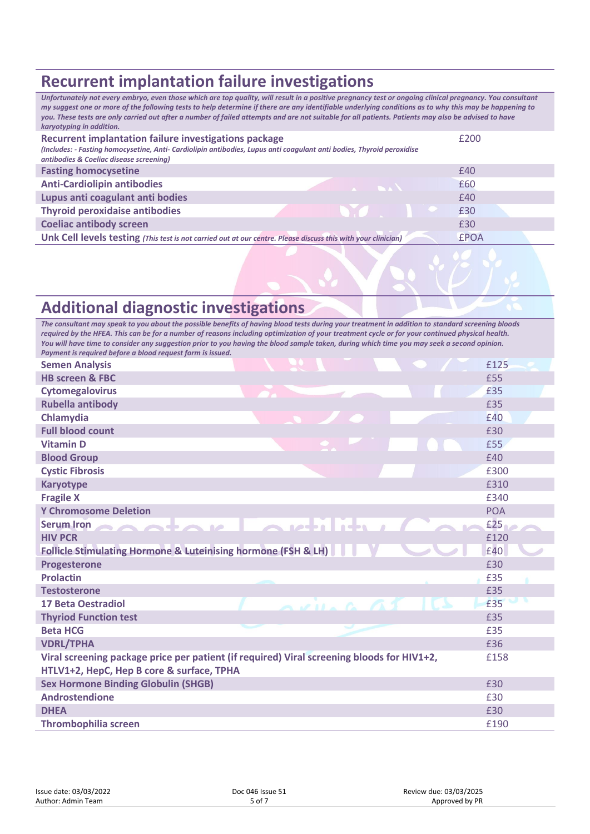# **Recurrent implantation failure investigations**

*Unfortunately not every embryo, even those which are top quality, will result in a positive pregnancy test or ongoing clinical pregnancy. You consultant my suggest one or more of the following tests to help determine if there are any identifiable underlying conditions as to why this may be happening to you. These tests are only carried out after a number of failed attempts and are not suitable for all patients. Patients may also be advised to have karyotyping in addition.* **Recurrent implantation failure investigations package** *(Includes: - Fasting homocysetine, Anti- Cardiolipin antibodies, Lupus anti coagulant anti bodies, Thyroid peroxidise antibodies & Coeliac disease screening)* £200 **Fasting homocysetine E40 Anti-Cardiolipin antibodies 2020 2020 2020 2020 2020 2020 2020 2020 2020 2020 2020 2020 2020 2020 2020 2020 2020 2020 2020 2020 2020 2020 2020 2020 2020 2020 2020 20 Lupus anti coagulant anti bodies** £40 **Thyroid peroxidaise antibodies E30 Coeliac antibody screen EXPLE 2008 EXPLEMENT COELIAC AND THE 2008 EXPLEMENT COELIAC AND THE 2008 Unk Cell levels testing** *(This test is not carried out at our centre. Please discuss this with your clinician)* £POA

# **Additional diagnostic investigations**

*The consultant may speak to you about the possible benefits of having blood tests during your treatment in addition to standard screening bloods required by the HFEA. This can be for a number of reasons including optimization of your treatment cycle or for your continued physical health. You will have time to consider any suggestion prior to you having the blood sample taken, during which time you may seek a second opinion. Payment is required before a blood request form is issued.*

| <b>Semen Analysis</b>                                                                                                                                                                                                                                                                                                                                                                           | £125       |
|-------------------------------------------------------------------------------------------------------------------------------------------------------------------------------------------------------------------------------------------------------------------------------------------------------------------------------------------------------------------------------------------------|------------|
| <b>HB screen &amp; FBC</b>                                                                                                                                                                                                                                                                                                                                                                      | £55        |
| <b>Cytomegalovirus</b>                                                                                                                                                                                                                                                                                                                                                                          | £35        |
| <b>Rubella antibody</b>                                                                                                                                                                                                                                                                                                                                                                         | £35        |
| Chlamydia                                                                                                                                                                                                                                                                                                                                                                                       | £40        |
| <b>Full blood count</b>                                                                                                                                                                                                                                                                                                                                                                         | £30        |
| <b>Vitamin D</b>                                                                                                                                                                                                                                                                                                                                                                                | £55        |
| <b>Blood Group</b>                                                                                                                                                                                                                                                                                                                                                                              | £40        |
| <b>Cystic Fibrosis</b>                                                                                                                                                                                                                                                                                                                                                                          | £300       |
| <b>Karyotype</b>                                                                                                                                                                                                                                                                                                                                                                                | £310       |
| <b>Fragile X</b>                                                                                                                                                                                                                                                                                                                                                                                | £340       |
| <b>Y Chromosome Deletion</b>                                                                                                                                                                                                                                                                                                                                                                    | <b>POA</b> |
| Serum Iron<br>$\bigcap$ $\bigcap$ $\bigcap$ $\bigcap$ $\bigcap$ $\bigcap$ $\bigcap$ $\bigcap$ $\bigcap$ $\bigcap$ $\bigcap$ $\bigcap$ $\bigcap$ $\bigcap$ $\bigcap$ $\bigcap$ $\bigcap$ $\bigcap$ $\bigcap$ $\bigcap$ $\bigcap$ $\bigcap$ $\bigcap$ $\bigcap$ $\bigcap$ $\bigcap$ $\bigcap$ $\bigcap$ $\bigcap$ $\bigcap$ $\bigcap$ $\bigcap$ $\bigcap$ $\bigcap$ $\bigcap$ $\bigcap$ $\bigcap$ | £25        |
| <b>HIV PCR</b>                                                                                                                                                                                                                                                                                                                                                                                  | £120       |
| Follicle Stimulating Hormone & Luteinising hormone (FSH & LH)                                                                                                                                                                                                                                                                                                                                   | £40        |
| <b>Progesterone</b>                                                                                                                                                                                                                                                                                                                                                                             | £30        |
| <b>Prolactin</b>                                                                                                                                                                                                                                                                                                                                                                                | £35        |
| <b>Testosterone</b>                                                                                                                                                                                                                                                                                                                                                                             | £35        |
| <b>17 Beta Oestradiol</b><br>$\bigwedge \nu$ $\bigwedge$ $\bigwedge$                                                                                                                                                                                                                                                                                                                            | £35        |
| <b>Thyriod Function test</b>                                                                                                                                                                                                                                                                                                                                                                    | £35        |
| <b>Beta HCG</b>                                                                                                                                                                                                                                                                                                                                                                                 | £35        |
| <b>VDRL/TPHA</b>                                                                                                                                                                                                                                                                                                                                                                                | £36        |
| Viral screening package price per patient (if required) Viral screening bloods for HIV1+2,                                                                                                                                                                                                                                                                                                      | £158       |
| HTLV1+2, HepC, Hep B core & surface, TPHA                                                                                                                                                                                                                                                                                                                                                       |            |
| <b>Sex Hormone Binding Globulin (SHGB)</b>                                                                                                                                                                                                                                                                                                                                                      | £30        |
| <b>Androstendione</b>                                                                                                                                                                                                                                                                                                                                                                           | £30        |
| <b>DHEA</b>                                                                                                                                                                                                                                                                                                                                                                                     | £30        |
| <b>Thrombophilia screen</b>                                                                                                                                                                                                                                                                                                                                                                     | £190       |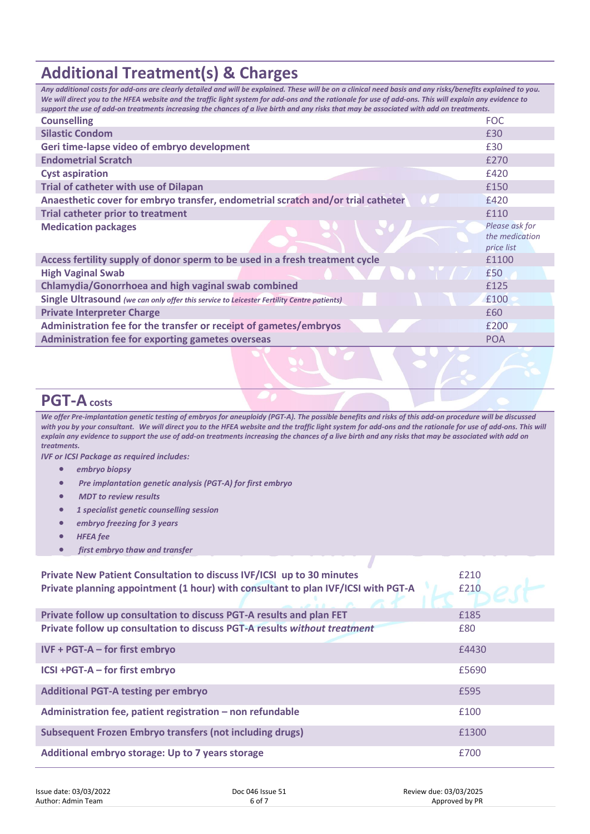# **Additional Treatment(s) & Charges**

| Any additional costs for add-ons are clearly detailed and will be explained. These will be on a clinical need basis and any risks/benefits explained to you.<br>We will direct you to the HFEA website and the traffic light system for add-ons and the rationale for use of add-ons. This will explain any evidence to<br>support the use of add-on treatments increasing the chances of a live birth and any risks that may be associated with add on treatments. |                                                |  |  |
|---------------------------------------------------------------------------------------------------------------------------------------------------------------------------------------------------------------------------------------------------------------------------------------------------------------------------------------------------------------------------------------------------------------------------------------------------------------------|------------------------------------------------|--|--|
| <b>Counselling</b>                                                                                                                                                                                                                                                                                                                                                                                                                                                  | <b>FOC</b>                                     |  |  |
| <b>Silastic Condom</b>                                                                                                                                                                                                                                                                                                                                                                                                                                              | £30                                            |  |  |
| Geri time-lapse video of embryo development                                                                                                                                                                                                                                                                                                                                                                                                                         | £30                                            |  |  |
| <b>Endometrial Scratch</b>                                                                                                                                                                                                                                                                                                                                                                                                                                          | £270                                           |  |  |
| <b>Cyst aspiration</b>                                                                                                                                                                                                                                                                                                                                                                                                                                              | £420                                           |  |  |
| <b>Trial of catheter with use of Dilapan</b>                                                                                                                                                                                                                                                                                                                                                                                                                        | £150                                           |  |  |
| Anaesthetic cover for embryo transfer, endometrial scratch and/or trial catheter                                                                                                                                                                                                                                                                                                                                                                                    | £420                                           |  |  |
| <b>Trial catheter prior to treatment</b>                                                                                                                                                                                                                                                                                                                                                                                                                            | £110                                           |  |  |
| <b>Medication packages</b>                                                                                                                                                                                                                                                                                                                                                                                                                                          | Please ask for<br>the medication<br>price list |  |  |
| Access fertility supply of donor sperm to be used in a fresh treatment cycle                                                                                                                                                                                                                                                                                                                                                                                        | £1100                                          |  |  |
| <b>High Vaginal Swab</b>                                                                                                                                                                                                                                                                                                                                                                                                                                            | £50                                            |  |  |
| <b>Chlamydia/Gonorrhoea and high vaginal swab combined</b>                                                                                                                                                                                                                                                                                                                                                                                                          | £125                                           |  |  |
| Single Ultrasound (we can only offer this service to Leicester Fertility Centre patients)                                                                                                                                                                                                                                                                                                                                                                           | £100                                           |  |  |
| <b>Private Interpreter Charge</b>                                                                                                                                                                                                                                                                                                                                                                                                                                   | £60                                            |  |  |
| Administration fee for the transfer or receipt of gametes/embryos                                                                                                                                                                                                                                                                                                                                                                                                   | £200                                           |  |  |
| <b>Administration fee for exporting gametes overseas</b>                                                                                                                                                                                                                                                                                                                                                                                                            | <b>POA</b>                                     |  |  |
|                                                                                                                                                                                                                                                                                                                                                                                                                                                                     |                                                |  |  |

## **PGT-Acosts**

*We offer Pre-implantation genetic testing of embryos for aneuploidy (PGT-A). The possible benefits and risks of this add-on procedure will be discussed with you by your consultant. We will direct you to the HFEA website and the traffic light system for add-ons and the rationale for use of add-ons. This will explain any evidence to support the use of add-on treatments increasing the chances of a live birth and any risks that may be associated with add on treatments.*

*IVF or ICSI Package as required includes:* 

- *embryo biopsy*
- *Pre implantation genetic analysis (PGT-A) for first embryo*
- *MDT to review results*
- *1 specialist genetic counselling session*
- *embryo freezing for 3 years*
- *HFEA fee*
- *first embryo thaw and transfer*

| Private New Patient Consultation to discuss IVF/ICSI up to 30 minutes<br>Private planning appointment (1 hour) with consultant to plan IVF/ICSI with PGT-A | £210<br>£210 |
|------------------------------------------------------------------------------------------------------------------------------------------------------------|--------------|
| Private follow up consultation to discuss PGT-A results and plan FET                                                                                       | £185         |
| Private follow up consultation to discuss PGT-A results without treatment                                                                                  | £80          |
| $IVF + PGT-A - for first embryo$                                                                                                                           | £4430        |
| ICSI +PGT-A - for first embryo                                                                                                                             | £5690        |
| <b>Additional PGT-A testing per embryo</b>                                                                                                                 | £595         |
| Administration fee, patient registration - non refundable                                                                                                  | £100         |
| <b>Subsequent Frozen Embryo transfers (not including drugs)</b>                                                                                            | £1300        |
| Additional embryo storage: Up to 7 years storage                                                                                                           | £700         |